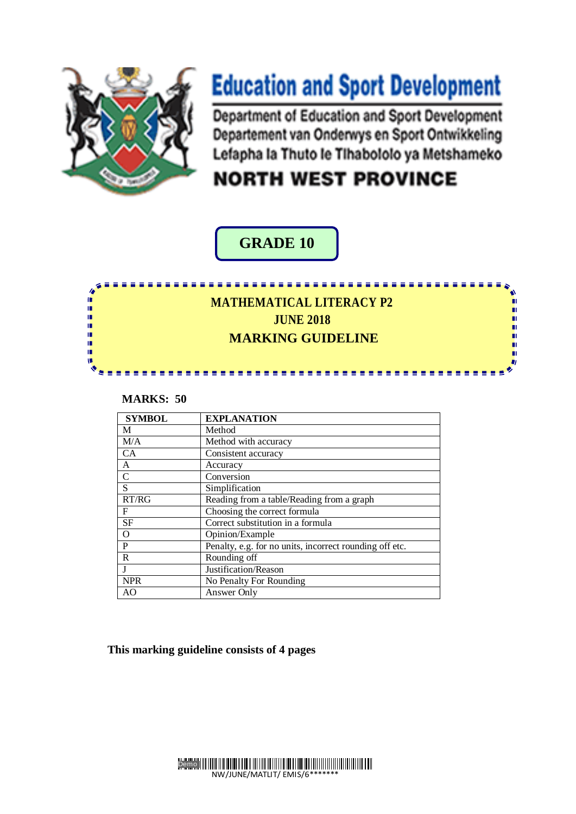

地域 地域

ı, ΙÚ,

# **Education and Sport Development**

Department of Education and Sport Development Departement van Onderwys en Sport Ontwikkeling Lefapha la Thuto le Tihabololo ya Metshameko

## **NORTH WEST PROVINCE**

#### **GRADE 10**

### **MATHEMATICAL LITERACY P2 JUNE 2018 MARKING GUIDELINE**

------

**NATI**

#### **MARKS: 50**

| <b>SYMBOL</b> | <b>EXPLANATION</b>                                      |
|---------------|---------------------------------------------------------|
| M             | Method                                                  |
| M/A           | Method with accuracy                                    |
| CA            | Consistent accuracy                                     |
| A             | Accuracy                                                |
| $\mathsf{C}$  | Conversion                                              |
| S             | Simplification                                          |
| RT/RG         | Reading from a table/Reading from a graph               |
| F             | Choosing the correct formula                            |
| <b>SF</b>     | Correct substitution in a formula                       |
| $\mathbf O$   | Opinion/Example                                         |
| P             | Penalty, e.g. for no units, incorrect rounding off etc. |
| $\mathbf R$   | Rounding off                                            |
| $\mathbf{J}$  | Justification/Reason                                    |
| <b>NPR</b>    | No Penalty For Rounding                                 |
| AO            | Answer Only                                             |

 **This marking guideline consists of 4 pages**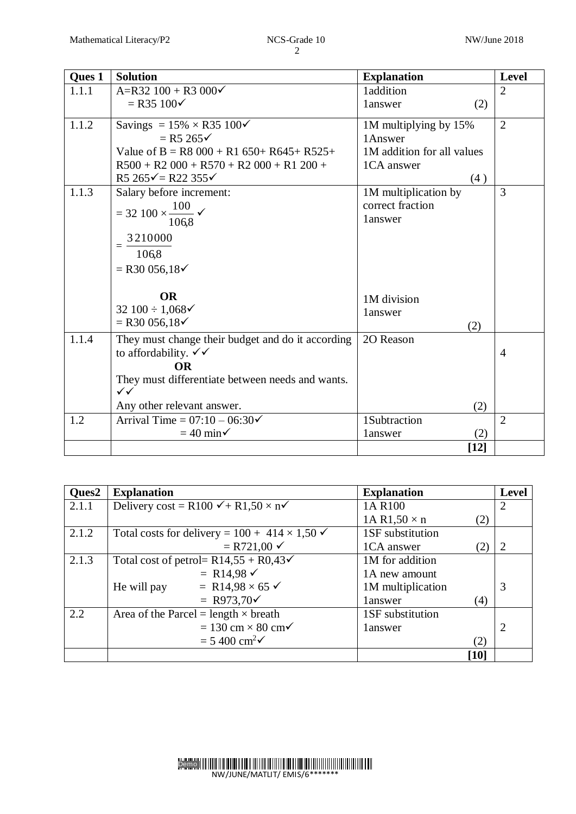| <b>Oues 1</b>  | <b>Solution</b>                                                                                                                                                                                                                    | <b>Explanation</b>                                                                                          | <b>Level</b>        |
|----------------|------------------------------------------------------------------------------------------------------------------------------------------------------------------------------------------------------------------------------------|-------------------------------------------------------------------------------------------------------------|---------------------|
| 1.1.1          | $A=R32 100 + R3 000 \checkmark$                                                                                                                                                                                                    | 1addition                                                                                                   | $\overline{2}$      |
|                | $=$ R35 100 $\checkmark$                                                                                                                                                                                                           | 1answer<br>(2)                                                                                              |                     |
| 1.1.2<br>1.1.3 | Savings = $15\% \times R35\,100\checkmark$<br>$=$ R5 265 $\checkmark$<br>Value of B = R8 000 + R1 650+ R645+ R525+<br>$R500 + R2000 + R570 + R2000 + R1200 +$<br>R5 $265\sqrt{ }$ = R22 355 $\sqrt{ }$<br>Salary before increment: | 1M multiplying by 15%<br>1Answer<br>1M addition for all values<br>1CA answer<br>(4)<br>1M multiplication by | $\overline{2}$<br>3 |
|                | $=$ 32 100 $\times \frac{100}{100}$ $\checkmark$<br>106,8<br>3210000<br>$=$<br>106,8<br>$=$ R30 056,18 $\checkmark$<br><b>OR</b><br>32 $100 \div 1,068 \checkmark$<br>$=$ R30 056,18 $\checkmark$                                  | correct fraction<br>1answer<br>1M division<br>1answer                                                       |                     |
| 1.1.4          | They must change their budget and do it according<br>to affordability. $\checkmark\checkmark$<br><b>OR</b><br>They must differentiate between needs and wants.<br>$\checkmark$<br>Any other relevant answer.                       | (2)<br>20 Reason<br>(2)                                                                                     | $\overline{4}$      |
| 1.2            | Arrival Time = $07:10 - 06:30\checkmark$<br>$= 40$ min $\checkmark$                                                                                                                                                                | 1Subtraction<br>(2)<br>1answer                                                                              | $\overline{2}$      |
|                |                                                                                                                                                                                                                                    | $[12]$                                                                                                      |                     |

| Ques2 | <b>Explanation</b>                                                | <b>Explanation</b>         | <b>Level</b>   |
|-------|-------------------------------------------------------------------|----------------------------|----------------|
| 2.1.1 | Delivery cost = R100 $\checkmark$ + R1,50 $\times$ n $\checkmark$ | 1A R100                    | $\overline{2}$ |
|       |                                                                   | 1A R1,50 $\times$ n<br>(2) |                |
| 2.1.2 | Total costs for delivery = $100 + 414 \times 1,50 \checkmark$     | 1SF substitution           |                |
|       | $= R721,00 \checkmark$                                            | 1CA answer<br>(2)          | 2              |
| 2.1.3 | Total cost of petrol= $R14,55 + R0,43$                            | 1M for addition            |                |
|       | = R14,98 $\checkmark$                                             | 1A new amount              |                |
|       | = R14,98 $\times$ 65 $\checkmark$<br>He will pay                  | 1M multiplication          | 3              |
|       | = R973,70 $\checkmark$                                            | 1answer<br>(4)             |                |
| 2.2   | Area of the Parcel = length $\times$ breath                       | 1SF substitution           |                |
|       | $= 130$ cm $\times$ 80 cm $\checkmark$                            | 1answer                    | 2              |
|       | $= 5400 \text{ cm}^2$                                             | (2)                        |                |
|       |                                                                   | [10]                       |                |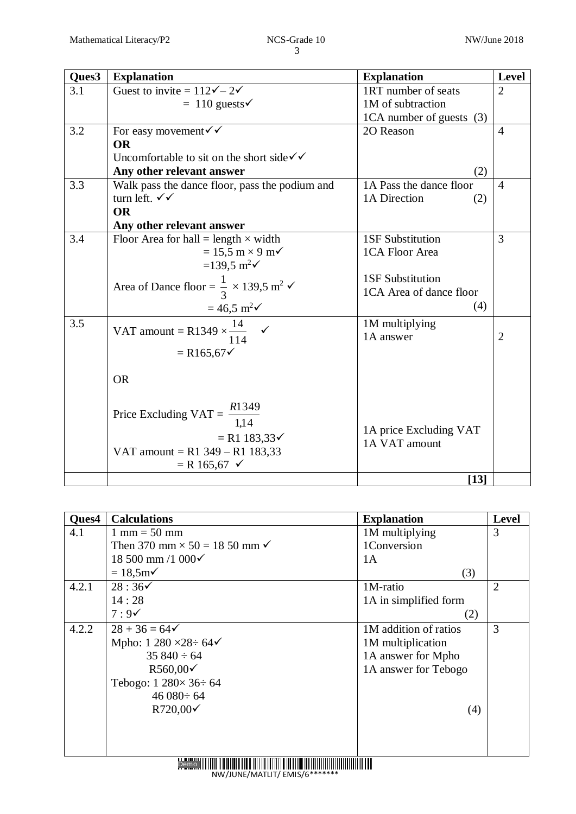| Ques3 | <b>Explanation</b>                                                           | <b>Explanation</b>       | Level          |
|-------|------------------------------------------------------------------------------|--------------------------|----------------|
| 3.1   | Guest to invite = $112\sqrt{-2}$                                             | 1RT number of seats      | $\overline{2}$ |
|       | $= 110$ guests $\checkmark$                                                  | 1M of subtraction        |                |
|       |                                                                              | 1CA number of guests (3) |                |
| 3.2   | For easy movement $\checkmark\checkmark$                                     | 2O Reason                | $\overline{4}$ |
|       | <b>OR</b>                                                                    |                          |                |
|       | Uncomfortable to sit on the short side $\checkmark$                          |                          |                |
|       | Any other relevant answer                                                    | (2)                      |                |
| 3.3   | Walk pass the dance floor, pass the podium and                               | 1A Pass the dance floor  | $\overline{4}$ |
|       | turn left. $\checkmark$                                                      | 1A Direction<br>(2)      |                |
|       | <b>OR</b>                                                                    |                          |                |
|       | Any other relevant answer                                                    |                          |                |
| 3.4   | Floor Area for hall = length $\times$ width                                  | <b>1SF Substitution</b>  | 3              |
|       | $= 15.5$ m $\times$ 9 m $\checkmark$                                         | 1CA Floor Area           |                |
|       | =139,5 m <sup>2</sup> $\checkmark$                                           |                          |                |
|       | Area of Dance floor = $\frac{1}{3} \times 139.5$ m <sup>2</sup> $\checkmark$ | <b>1SF Substitution</b>  |                |
|       |                                                                              | 1CA Area of dance floor  |                |
|       | $= 46.5 \text{ m}^2\checkmark$                                               | (4)                      |                |
| 3.5   | VAT amount = R1349 $\times \frac{14}{11}$ $\checkmark$                       | 1M multiplying           |                |
|       | 114                                                                          | 1A answer                | $\overline{2}$ |
|       | $= R165,67 \checkmark$                                                       |                          |                |
|       |                                                                              |                          |                |
|       | <b>OR</b>                                                                    |                          |                |
|       |                                                                              |                          |                |
|       |                                                                              |                          |                |
|       | Price Excluding VAT = $\frac{R1349}{1,14}$                                   |                          |                |
|       | $= R1 183,33 \checkmark$                                                     | 1A price Excluding VAT   |                |
|       | VAT amount = $R1$ 349 – $R1$ 183,33                                          | 1A VAT amount            |                |
|       | $=$ R 165,67 $\checkmark$                                                    |                          |                |
|       |                                                                              | $[13]$                   |                |

| Ques4 | <b>Calculations</b>                             | <b>Explanation</b>    | Level          |
|-------|-------------------------------------------------|-----------------------|----------------|
| 4.1   | $1 \text{ mm} = 50 \text{ mm}$                  | 1M multiplying        | 3              |
|       | Then 370 mm $\times$ 50 = 18 50 mm $\checkmark$ | 1Conversion           |                |
|       | 18 500 mm /1 000 $\checkmark$                   | 1A                    |                |
|       | $= 18,5m2$                                      | (3)                   |                |
| 4.2.1 | $28:36\checkmark$                               | 1M-ratio              | $\overline{2}$ |
|       | 14:28                                           | 1A in simplified form |                |
|       | $7:9\check{$                                    | (2)                   |                |
| 4.2.2 | $28 + 36 = 64$                                  | 1M addition of ratios | 3              |
|       | Mpho: $1\,280 \times 28 \div 64$                | 1M multiplication     |                |
|       | $35840 \div 64$                                 | 1A answer for Mpho    |                |
|       | $R560,00 \checkmark$                            | 1A answer for Tebogo  |                |
|       | Tebogo: $1\,280\times 36:64$                    |                       |                |
|       | $46080 \div 64$                                 |                       |                |
|       | R720,00√                                        | (4)                   |                |
|       |                                                 |                       |                |
|       |                                                 |                       |                |
|       |                                                 |                       |                |